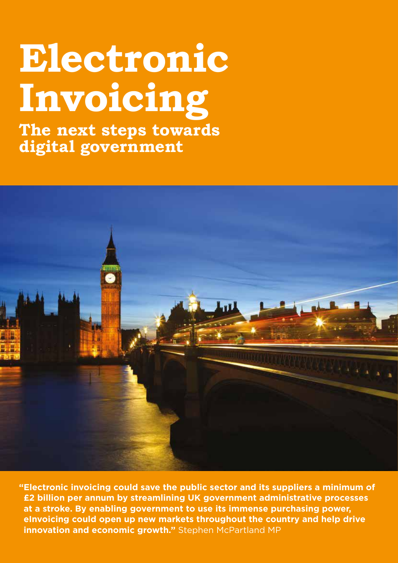# **Electronic Invoicing**

**The next steps towards digital government**



**"Electronic invoicing could save the public sector and its suppliers a minimum of £2 billion per annum by streamlining UK government administrative processes at a stroke. By enabling government to use its immense purchasing power, eInvoicing could open up new markets throughout the country and help drive innovation and economic growth."** Stephen McPartland MP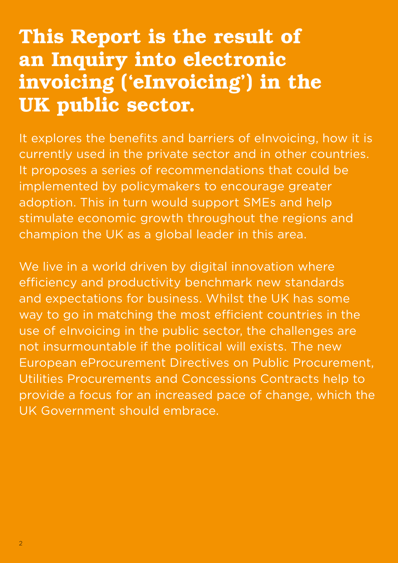### This Report is the result of an Inquiry into electronic invoicing ('eInvoicing') in the UK public sector.

It explores the benefits and barriers of eInvoicing, how it is currently used in the private sector and in other countries. It proposes a series of recommendations that could be implemented by policymakers to encourage greater adoption. This in turn would support SMEs and help stimulate economic growth throughout the regions and champion the UK as a global leader in this area.

We live in a world driven by digital innovation where efficiency and productivity benchmark new standards and expectations for business. Whilst the UK has some way to go in matching the most efficient countries in the use of eInvoicing in the public sector, the challenges are not insurmountable if the political will exists. The new European eProcurement Directives on Public Procurement, Utilities Procurements and Concessions Contracts help to provide a focus for an increased pace of change, which the UK Government should embrace.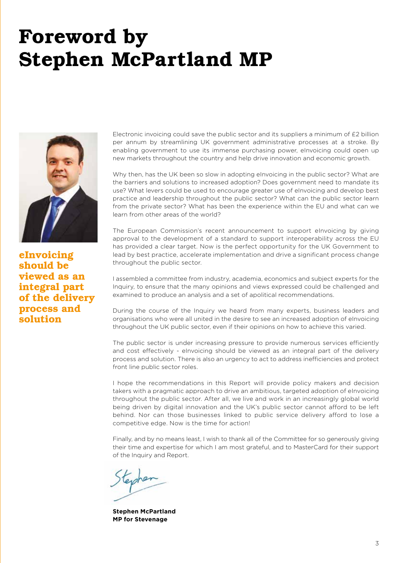### Foreword by Stephen McPartland MP



eInvoicing should be viewed as an integral part of the delivery process and solution

Electronic invoicing could save the public sector and its suppliers a minimum of £2 billion per annum by streamlining UK government administrative processes at a stroke. By enabling government to use its immense purchasing power, eInvoicing could open up new markets throughout the country and help drive innovation and economic growth.

Why then, has the UK been so slow in adopting elnvoicing in the public sector? What are the barriers and solutions to increased adoption? Does government need to mandate its use? What levers could be used to encourage greater use of eInvoicing and develop best practice and leadership throughout the public sector? What can the public sector learn from the private sector? What has been the experience within the EU and what can we learn from other areas of the world?

The European Commission's recent announcement to support eInvoicing by giving approval to the development of a standard to support interoperability across the EU has provided a clear target. Now is the perfect opportunity for the UK Government to lead by best practice, accelerate implementation and drive a significant process change throughout the public sector.

I assembled a committee from industry, academia, economics and subject experts for the Inquiry, to ensure that the many opinions and views expressed could be challenged and examined to produce an analysis and a set of apolitical recommendations.

During the course of the Inquiry we heard from many experts, business leaders and organisations who were all united in the desire to see an increased adoption of eInvoicing throughout the UK public sector, even if their opinions on how to achieve this varied.

The public sector is under increasing pressure to provide numerous services efficiently and cost effectively - eInvoicing should be viewed as an integral part of the delivery process and solution. There is also an urgency to act to address inefficiencies and protect front line public sector roles.

I hope the recommendations in this Report will provide policy makers and decision takers with a pragmatic approach to drive an ambitious, targeted adoption of eInvoicing throughout the public sector. After all, we live and work in an increasingly global world being driven by digital innovation and the UK's public sector cannot afford to be left behind. Nor can those businesses linked to public service delivery afford to lose a competitive edge. Now is the time for action!

Finally, and by no means least, I wish to thank all of the Committee for so generously giving their time and expertise for which I am most grateful, and to MasterCard for their support of the Inquiry and Report.

**Stephen McPartland MP for Stevenage**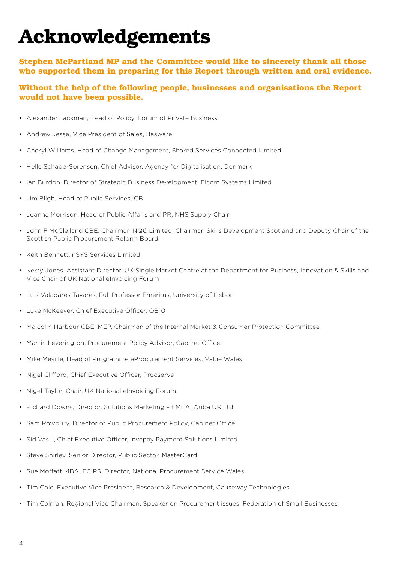# Acknowledgements

#### Stephen McPartland MP and the Committee would like to sincerely thank all those who supported them in preparing for this Report through written and oral evidence.

#### Without the help of the following people, businesses and organisations the Report would not have been possible.

- Alexander Jackman, Head of Policy, Forum of Private Business
- Andrew Jesse, Vice President of Sales, Basware
- Cheryl Williams, Head of Change Management, Shared Services Connected Limited
- Helle Schade-Sorensen, Chief Advisor, Agency for Digitalisation, Denmark
- Ian Burdon, Director of Strategic Business Development, Elcom Systems Limited
- Jim Bligh, Head of Public Services, CBI
- Joanna Morrison, Head of Public Affairs and PR, NHS Supply Chain
- John F McClelland CBE, Chairman NQC Limited, Chairman Skills Development Scotland and Deputy Chair of the Scottish Public Procurement Reform Board
- Keith Bennett, nSYS Services Limited
- Kerry Jones, Assistant Director, UK Single Market Centre at the Department for Business, Innovation & Skills and Vice Chair of UK National eInvoicing Forum
- Luis Valadares Tavares, Full Professor Emeritus, University of Lisbon
- Luke McKeever, Chief Executive Officer, OB10
- Malcolm Harbour CBE, MEP, Chairman of the Internal Market & Consumer Protection Committee
- Martin Leverington, Procurement Policy Advisor, Cabinet Office
- Mike Meville, Head of Programme eProcurement Services, Value Wales
- Nigel Clifford, Chief Executive Officer, Procserve
- Nigel Taylor, Chair, UK National eInvoicing Forum
- Richard Downs, Director, Solutions Marketing EMEA, Ariba UK Ltd
- Sam Rowbury, Director of Public Procurement Policy, Cabinet Office
- Sid Vasili, Chief Executive Officer, Invapay Payment Solutions Limited
- Steve Shirley, Senior Director, Public Sector, MasterCard
- Sue Moffatt MBA, FCIPS, Director, National Procurement Service Wales
- Tim Cole, Executive Vice President, Research & Development, Causeway Technologies
- Tim Colman, Regional Vice Chairman, Speaker on Procurement issues, Federation of Small Businesses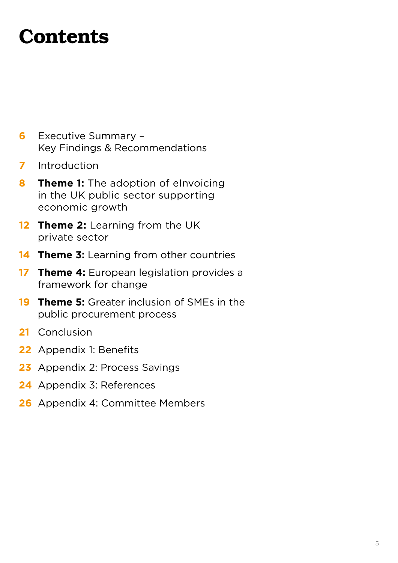### **Contents**

- **6** Executive Summary Key Findings & Recommendations
- **7** Introduction
- **8 Theme 1:** The adoption of elnvoicing in the UK public sector supporting economic growth
- **12 Theme 2:** Learning from the UK private sector
- **14 Theme 3:** Learning from other countries
- **17 Theme 4:** European legislation provides a framework for change
- **19 Theme 5:** Greater inclusion of SMEs in the public procurement process
- **21** Conclusion
- **22** Appendix 1: Benefits
- **23** Appendix 2: Process Savings
- **24** Appendix 3: References
- **26** Appendix 4: Committee Members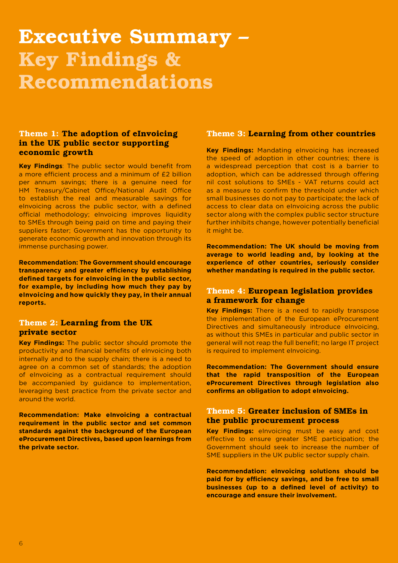### Executive Summary – Key Findings & Recommendations

#### Theme 1: The adoption of eInvoicing in the UK public sector supporting economic growth

**Key Findings**: The public sector would benefit from a more efficient process and a minimum of £2 billion per annum savings; there is a genuine need for HM Treasury/Cabinet Office/National Audit Office to establish the real and measurable savings for eInvoicing across the public sector, with a defined official methodology; eInvoicing improves liquidity to SMEs through being paid on time and paying their suppliers faster; Government has the opportunity to generate economic growth and innovation through its immense purchasing power.

**Recommendation: The Government should encourage transparency and greater efficiency by establishing defined targets for eInvoicing in the public sector, for example, by including how much they pay by eInvoicing and how quickly they pay, in their annual reports.** 

#### Theme 2: Learning from the UK private sector

**Key Findings:** The public sector should promote the productivity and financial benefits of eInvoicing both internally and to the supply chain; there is a need to agree on a common set of standards; the adoption of eInvoicing as a contractual requirement should be accompanied by guidance to implementation, leveraging best practice from the private sector and around the world.

**Recommendation: Make eInvoicing a contractual requirement in the public sector and set common standards against the background of the European eProcurement Directives, based upon learnings from the private sector.**

#### Theme 3: Learning from other countries

**Key Findings:** Mandating eInvoicing has increased the speed of adoption in other countries; there is a widespread perception that cost is a barrier to adoption, which can be addressed through offering nil cost solutions to SMEs - VAT returns could act as a measure to confirm the threshold under which small businesses do not pay to participate; the lack of access to clear data on eInvoicing across the public sector along with the complex public sector structure further inhibits change, however potentially beneficial it might be.

**Recommendation: The UK should be moving from average to world leading and, by looking at the experience of other countries, seriously consider whether mandating is required in the public sector.**

#### Theme 4: European legislation provides a framework for change

**Key Findings:** There is a need to rapidly transpose the implementation of the European eProcurement Directives and simultaneously introduce eInvoicing, as without this SMEs in particular and public sector in general will not reap the full benefit; no large IT project is required to implement eInvoicing.

**Recommendation: The Government should ensure that the rapid transposition of the European eProcurement Directives through legislation also confirms an obligation to adopt eInvoicing.**

#### Theme 5: Greater inclusion of SMEs in the public procurement process

**Key Findings:** eInvoicing must be easy and cost effective to ensure greater SME participation; the Government should seek to increase the number of SME suppliers in the UK public sector supply chain.

**Recommendation: eInvoicing solutions should be paid for by efficiency savings, and be free to small businesses (up to a defined level of activity) to encourage and ensure their involvement.**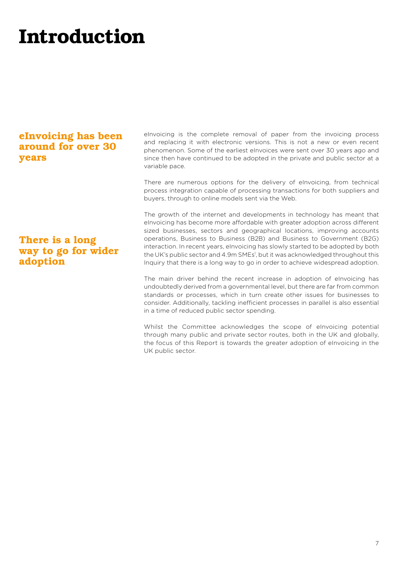# Introduction

### eInvoicing has been around for over 30 years

### There is a long way to go for wider adoption

eInvoicing is the complete removal of paper from the invoicing process and replacing it with electronic versions. This is not a new or even recent phenomenon. Some of the earliest eInvoices were sent over 30 years ago and since then have continued to be adopted in the private and public sector at a variable pace.

There are numerous options for the delivery of eInvoicing, from technical process integration capable of processing transactions for both suppliers and buyers, through to online models sent via the Web.

The growth of the internet and developments in technology has meant that eInvoicing has become more affordable with greater adoption across different sized businesses, sectors and geographical locations, improving accounts operations, Business to Business (B2B) and Business to Government (B2G) interaction. In recent years, eInvoicing has slowly started to be adopted by both the UK's public sector and 4.9m SMEs', but it was acknowledged throughout this Inquiry that there is a long way to go in order to achieve widespread adoption.

The main driver behind the recent increase in adoption of eInvoicing has undoubtedly derived from a governmental level, but there are far from common standards or processes, which in turn create other issues for businesses to consider. Additionally, tackling inefficient processes in parallel is also essential in a time of reduced public sector spending.

Whilst the Committee acknowledges the scope of eInvoicing potential through many public and private sector routes, both in the UK and globally, the focus of this Report is towards the greater adoption of eInvoicing in the UK public sector.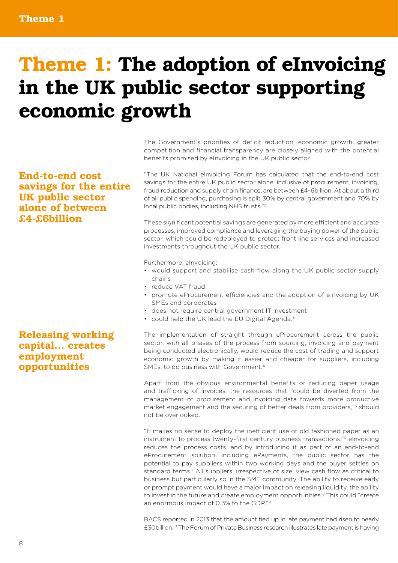# Theme 1: The adoption of eInvoicing in the UK public sector supporting economic growth

End-to-end cost savings for the entire UK public sector alone of between £4-£6billion

#### Releasing working capital... creates employment opportunities

The Government's priorities of deficit reduction, economic growth, greater competition and financial transparency are closely aligned with the potential benefits promised by eInvoicing in the UK public sector.

"The UK National eInvoicing Forum has calculated that the end-to-end cost savings for the entire UK public sector alone, inclusive of procurement, invoicing, fraud reduction and supply chain finance, are between £4-6billion. At about a third of all public spending, purchasing is split 30% by central government and 70% by local public bodies, including NHS trusts."2

These significant potential savings are generated by more efficient and accurate processes, improved compliance and leveraging the buying power of the public sector, which could be redeployed to protect front line services and increased investments throughout the UK public sector.

Furthermore, eInvoicing:

- would support and stabilise cash flow along the UK public sector supply chains
- reduce VAT fraud
- promote eProcurement efficiencies and the adoption of eInvoicing by UK SMEs and corporates
- does not require central government IT investment
- could help the UK lead the EU Digital Agenda.<sup>3</sup>

The implementation of straight through eProcurement across the public sector, with all phases of the process from sourcing, invoicing and payment being conducted electronically, would reduce the cost of trading and support economic growth by making it easier and cheaper for suppliers, including SMEs, to do business with Government.4

Apart from the obvious environmental benefits of reducing paper usage and trafficking of invoices, the resources that "could be diverted from the management of procurement and invoicing data towards more productive market engagement and the securing of better deals from providers,"5 should not be overlooked.

"It makes no sense to deploy the inefficient use of old fashioned paper as an instrument to process twenty-first century business transactions."6 eInvoicing reduces the process costs, and by introducing it as part of an end-to-end eProcurement solution, including ePayments, the public sector has the potential to pay suppliers within two working days and the buyer settles on standard terms.7 All suppliers, irrespective of size, view cash flow as critical to business but particularly so in the SME community. The ability to receive early or prompt payment would have a major impact on releasing liquidity, the ability to invest in the future and create employment opportunities.8 This could "create an enormous impact of 0.3% to the GDP."9

BACS reported in 2013 that the amount tied up in late payment had risen to nearly £30billion.10 The Forum of Private Business research illustrates late payment is having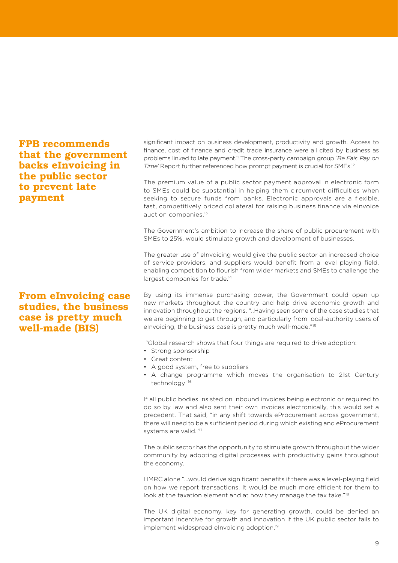### FPB recommends that the government backs eInvoicing in the public sector to prevent late payment

#### From eInvoicing case studies, the business case is pretty much well-made (BIS)

significant impact on business development, productivity and growth. Access to finance, cost of finance and credit trade insurance were all cited by business as problems linked to late payment.11 The cross-party campaign group *'Be Fair, Pay on Time'* Report further referenced how prompt payment is crucial for SMEs.12

The premium value of a public sector payment approval in electronic form to SMEs could be substantial in helping them circumvent difficulties when seeking to secure funds from banks. Electronic approvals are a flexible, fast, competitively priced collateral for raising business finance via eInvoice auction companies.13

The Government's ambition to increase the share of public procurement with SMEs to 25%, would stimulate growth and development of businesses.

The greater use of eInvoicing would give the public sector an increased choice of service providers, and suppliers would benefit from a level playing field, enabling competition to flourish from wider markets and SMEs to challenge the largest companies for trade.<sup>14</sup>

By using its immense purchasing power, the Government could open up new markets throughout the country and help drive economic growth and innovation throughout the regions. "..Having seen some of the case studies that we are beginning to get through, and particularly from local-authority users of eInvoicing, the business case is pretty much well-made."15

"Global research shows that four things are required to drive adoption:

- Strong sponsorship
- Great content
- A good system, free to suppliers
- A change programme which moves the organisation to 21st Century technology"16

If all public bodies insisted on inbound invoices being electronic or required to do so by law and also sent their own invoices electronically, this would set a precedent. That said, "in any shift towards eProcurement across government, there will need to be a sufficient period during which existing and eProcurement systems are valid."17

The public sector has the opportunity to stimulate growth throughout the wider community by adopting digital processes with productivity gains throughout the economy.

HMRC alone "…would derive significant benefits if there was a level-playing field on how we report transactions. It would be much more efficient for them to look at the taxation element and at how they manage the tax take."<sup>18</sup>

The UK digital economy, key for generating growth, could be denied an important incentive for growth and innovation if the UK public sector fails to implement widespread eInvoicing adoption.19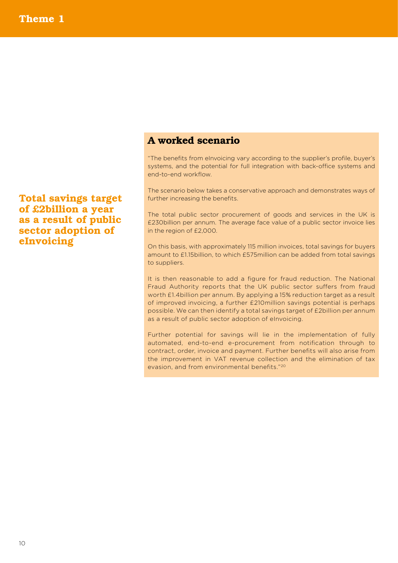#### A worked scenario

"The benefits from eInvoicing vary according to the supplier's profile, buyer's systems, and the potential for full integration with back-office systems and end-to-end workflow.

The scenario below takes a conservative approach and demonstrates ways of further increasing the benefits.

The total public sector procurement of goods and services in the UK is £230billion per annum. The average face value of a public sector invoice lies in the region of £2,000.

On this basis, with approximately 115 million invoices, total savings for buyers amount to £1.15billion, to which £575million can be added from total savings to suppliers.

It is then reasonable to add a figure for fraud reduction. The National Fraud Authority reports that the UK public sector suffers from fraud worth £1.4billion per annum. By applying a 15% reduction target as a result of improved invoicing, a further £210million savings potential is perhaps possible. We can then identify a total savings target of £2billion per annum as a result of public sector adoption of eInvoicing.

Further potential for savings will lie in the implementation of fully automated, end-to-end e-procurement from notification through to contract, order, invoice and payment. Further benefits will also arise from the improvement in VAT revenue collection and the elimination of tax evasion, and from environmental benefits."20

Total savings target of £2billion a year as a result of public sector adoption of eInvoicing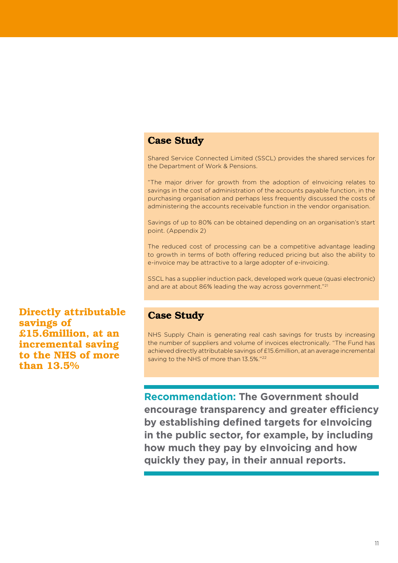#### Case Study

Shared Service Connected Limited (SSCL) provides the shared services for the Department of Work & Pensions.

"The major driver for growth from the adoption of eInvoicing relates to savings in the cost of administration of the accounts payable function, in the purchasing organisation and perhaps less frequently discussed the costs of administering the accounts receivable function in the vendor organisation.

Savings of up to 80% can be obtained depending on an organisation's start point. (Appendix 2)

The reduced cost of processing can be a competitive advantage leading to growth in terms of both offering reduced pricing but also the ability to e-invoice may be attractive to a large adopter of e-invoicing.

SSCL has a supplier induction pack, developed work queue (quasi electronic) and are at about 86% leading the way across government."21

Directly attributable savings of £15.6million, at an incremental saving to the NHS of more than 13.5%

#### Case Study

NHS Supply Chain is generating real cash savings for trusts by increasing the number of suppliers and volume of invoices electronically. "The Fund has achieved directly attributable savings of £15.6million, at an average incremental saving to the NHS of more than 13.5%."<sup>22</sup>

**Recommendation: The Government should encourage transparency and greater efficiency by establishing defined targets for eInvoicing in the public sector, for example, by including how much they pay by eInvoicing and how quickly they pay, in their annual reports.**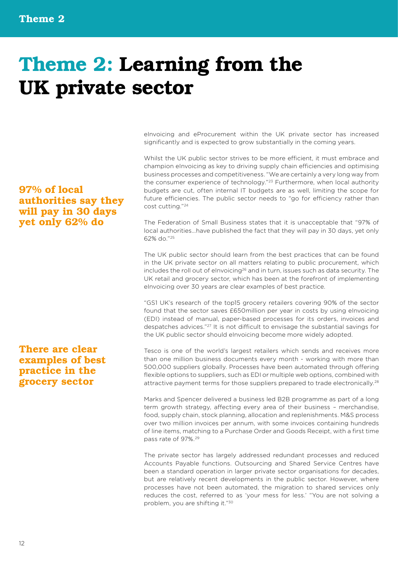# Theme 2: Learning from the UK private sector

eInvoicing and eProcurement within the UK private sector has increased significantly and is expected to grow substantially in the coming years.

Whilst the UK public sector strives to be more efficient, it must embrace and champion eInvoicing as key to driving supply chain efficiencies and optimising business processes and competitiveness. "We are certainly a very long way from the consumer experience of technology."<sup>23</sup> Furthermore, when local authority budgets are cut, often internal IT budgets are as well, limiting the scope for future efficiencies. The public sector needs to "go for efficiency rather than cost cutting."24

The Federation of Small Business states that it is unacceptable that "97% of local authorities…have published the fact that they will pay in 30 days, yet only 62% do."25

The UK public sector should learn from the best practices that can be found in the UK private sector on all matters relating to public procurement, which includes the roll out of eInvoicing $^{26}$  and in turn, issues such as data security. The UK retail and grocery sector, which has been at the forefront of implementing eInvoicing over 30 years are clear examples of best practice.

"GS1 UK's research of the top15 grocery retailers covering 90% of the sector found that the sector saves £650million per year in costs by using eInvoicing (EDI) instead of manual, paper-based processes for its orders, invoices and despatches advices."27 It is not difficult to envisage the substantial savings for the UK public sector should eInvoicing become more widely adopted.

Tesco is one of the world's largest retailers which sends and receives more than one million business documents every month - working with more than 500,000 suppliers globally. Processes have been automated through offering flexible options to suppliers, such as EDI or multiple web options, combined with attractive payment terms for those suppliers prepared to trade electronically.28

Marks and Spencer delivered a business led B2B programme as part of a long term growth strategy, affecting every area of their business – merchandise, food, supply chain, stock planning, allocation and replenishments. M&S process over two million invoices per annum, with some invoices containing hundreds of line items, matching to a Purchase Order and Goods Receipt, with a first time pass rate of 97%.29

The private sector has largely addressed redundant processes and reduced Accounts Payable functions. Outsourcing and Shared Service Centres have been a standard operation in larger private sector organisations for decades, but are relatively recent developments in the public sector. However, where processes have not been automated, the migration to shared services only reduces the cost, referred to as 'your mess for less.' "You are not solving a problem, you are shifting it."30

### 97% of local authorities say they will pay in 30 days yet only 62% do

### There are clear examples of best practice in the grocery sector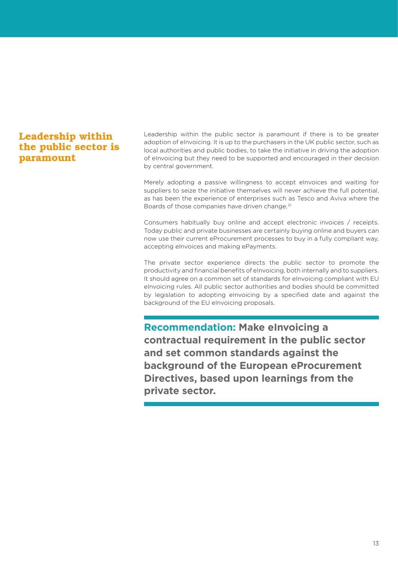### Leadership within the public sector is paramount

Leadership within the public sector is paramount if there is to be greater adoption of eInvoicing. It is up to the purchasers in the UK public sector, such as local authorities and public bodies, to take the initiative in driving the adoption of eInvoicing but they need to be supported and encouraged in their decision by central government.

Merely adopting a passive willingness to accept eInvoices and waiting for suppliers to seize the initiative themselves will never achieve the full potential, as has been the experience of enterprises such as Tesco and Aviva where the Boards of those companies have driven change.<sup>31</sup>

Consumers habitually buy online and accept electronic invoices / receipts. Today public and private businesses are certainly buying online and buyers can now use their current eProcurement processes to buy in a fully compliant way, accepting eInvoices and making ePayments.

The private sector experience directs the public sector to promote the productivity and financial benefits of eInvoicing, both internally and to suppliers. It should agree on a common set of standards for eInvoicing compliant with EU eInvoicing rules. All public sector authorities and bodies should be committed by legislation to adopting eInvoicing by a specified date and against the background of the EU eInvoicing proposals.

**Recommendation: Make eInvoicing a contractual requirement in the public sector and set common standards against the background of the European eProcurement Directives, based upon learnings from the private sector.**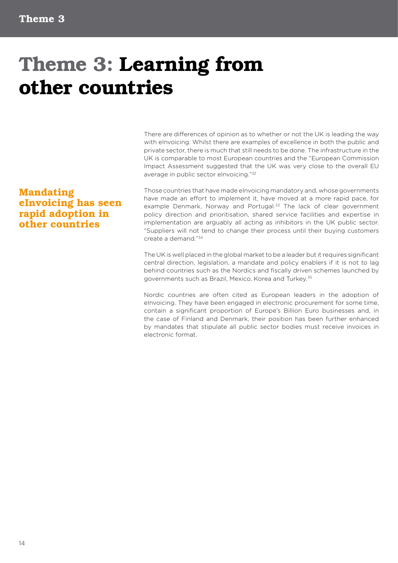# Theme 3: Learning from other countries

There are differences of opinion as to whether or not the UK is leading the way with eInvoicing. Whilst there are examples of excellence in both the public and private sector, there is much that still needs to be done. The infrastructure in the UK is comparable to most European countries and the "European Commission Impact Assessment suggested that the UK was very close to the overall EU average in public sector eInvoicing."32

### Mandating eInvoicing has seen rapid adoption in other countries

Those countries that have made eInvoicing mandatory and, whose governments have made an effort to implement it, have moved at a more rapid pace, for example Denmark, Norway and Portugal.<sup>33</sup> The lack of clear government policy direction and prioritisation, shared service facilities and expertise in implementation are arguably all acting as inhibitors in the UK public sector. "Suppliers will not tend to change their process until their buying customers create a demand."34

The UK is well placed in the global market to be a leader but it requires significant central direction, legislation, a mandate and policy enablers if it is not to lag behind countries such as the Nordics and fiscally driven schemes launched by governments such as Brazil, Mexico, Korea and Turkey.35

Nordic countries are often cited as European leaders in the adoption of eInvoicing. They have been engaged in electronic procurement for some time, contain a significant proportion of Europe's Billion Euro businesses and, in the case of Finland and Denmark, their position has been further enhanced by mandates that stipulate all public sector bodies must receive invoices in electronic format.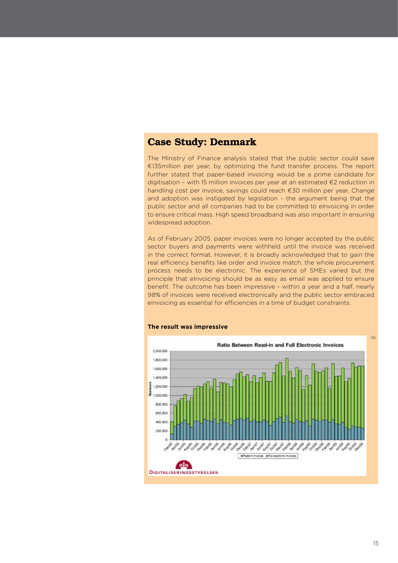#### Case Study: Denmark

The Ministry of Finance analysis stated that the public sector could save €135million per year, by optimizing the fund transfer process. The report further stated that paper-based invoicing would be a prime candidate for digitisation – with 15 million invoices per year at an estimated €2 reduction in handling cost per invoice, savings could reach €30 million per year. Change and adoption was instigated by legislation - the argument being that the public sector and all companies had to be committed to eInvoicing in order to ensure critical mass. High speed broadband was also important in ensuring widespread adoption.

As of February 2005, paper invoices were no longer accepted by the public sector buyers and payments were withheld until the invoice was received in the correct format. However, it is broadly acknowledged that to gain the real efficiency benefits like order and invoice match, the whole procurement process needs to be electronic. The experience of SMEs varied but the principle that eInvoicing should be as easy as email was applied to ensure benefit. The outcome has been impressive - within a year and a half, nearly 98% of invoices were received electronically and the public sector embraced eInvoicing as essential for efficiencies in a time of budget constraints.



#### **The result was impressive**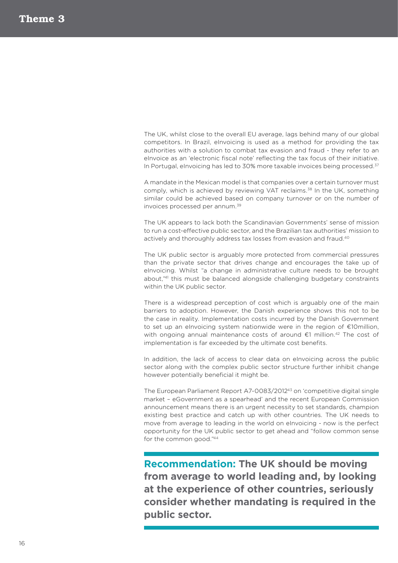The UK, whilst close to the overall EU average, lags behind many of our global competitors. In Brazil, eInvoicing is used as a method for providing the tax authorities with a solution to combat tax evasion and fraud - they refer to an eInvoice as an 'electronic fiscal note' reflecting the tax focus of their initiative. In Portugal, eInvoicing has led to 30% more taxable invoices being processed.<sup>37</sup>

A mandate in the Mexican model is that companies over a certain turnover must comply, which is achieved by reviewing VAT reclaims.<sup>38</sup> In the UK, something similar could be achieved based on company turnover or on the number of invoices processed per annum.39

The UK appears to lack both the Scandinavian Governments' sense of mission to run a cost-effective public sector, and the Brazilian tax authorities' mission to actively and thoroughly address tax losses from evasion and fraud.<sup>40</sup>

The UK public sector is arguably more protected from commercial pressures than the private sector that drives change and encourages the take up of eInvoicing. Whilst "a change in administrative culture needs to be brought about,"41 this must be balanced alongside challenging budgetary constraints within the UK public sector.

There is a widespread perception of cost which is arguably one of the main barriers to adoption. However, the Danish experience shows this not to be the case in reality. Implementation costs incurred by the Danish Government to set up an eInvoicing system nationwide were in the region of €10million, with ongoing annual maintenance costs of around €1 million.<sup>42</sup> The cost of implementation is far exceeded by the ultimate cost benefits.

In addition, the lack of access to clear data on eInvoicing across the public sector along with the complex public sector structure further inhibit change however potentially beneficial it might be.

The European Parliament Report A7-0083/201243 on 'competitive digital single market – eGovernment as a spearhead' and the recent European Commission announcement means there is an urgent necessity to set standards, champion existing best practice and catch up with other countries. The UK needs to move from average to leading in the world on eInvoicing - now is the perfect opportunity for the UK public sector to get ahead and "follow common sense for the common good."44

**Recommendation: The UK should be moving from average to world leading and, by looking at the experience of other countries, seriously consider whether mandating is required in the public sector.**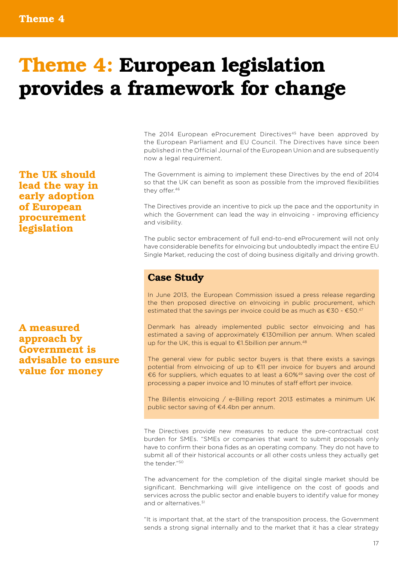# Theme 4: European legislation provides a framework for change

The 2014 European eProcurement Directives<sup>45</sup> have been approved by the European Parliament and EU Council. The Directives have since been published in the Official Journal of the European Union and are subsequently now a legal requirement.

The Government is aiming to implement these Directives by the end of 2014 so that the UK can benefit as soon as possible from the improved flexibilities they offer.46

The Directives provide an incentive to pick up the pace and the opportunity in which the Government can lead the way in eInvoicing - improving efficiency and visibility.

The public sector embracement of full end-to-end eProcurement will not only have considerable benefits for eInvoicing but undoubtedly impact the entire EU Single Market, reducing the cost of doing business digitally and driving growth.

#### Case Study

In June 2013, the European Commission issued a press release regarding the then proposed directive on eInvoicing in public procurement, which estimated that the savings per invoice could be as much as  $\epsilon$ 30 -  $\epsilon$ 50.<sup>47</sup>

Denmark has already implemented public sector eInvoicing and has estimated a saving of approximately €130million per annum. When scaled up for the UK, this is equal to €1.5billion per annum.<sup>48</sup>

The general view for public sector buyers is that there exists a savings potential from eInvoicing of up to €11 per invoice for buyers and around €6 for suppliers, which equates to at least a 60%49 saving over the cost of processing a paper invoice and 10 minutes of staff effort per invoice.

The Billentis eInvoicing / e-Billing report 2013 estimates a minimum UK public sector saving of €4.4bn per annum.

The Directives provide new measures to reduce the pre-contractual cost burden for SMEs. "SMEs or companies that want to submit proposals only have to confirm their bona fides as an operating company. They do not have to submit all of their historical accounts or all other costs unless they actually get the tender."50

The advancement for the completion of the digital single market should be significant. Benchmarking will give intelligence on the cost of goods and services across the public sector and enable buyers to identify value for money and or alternatives.<sup>51</sup>

"It is important that, at the start of the transposition process, the Government sends a strong signal internally and to the market that it has a clear strategy

The UK should lead the way in early adoption of European procurement legislation

A measured approach by Government is advisable to ensure value for money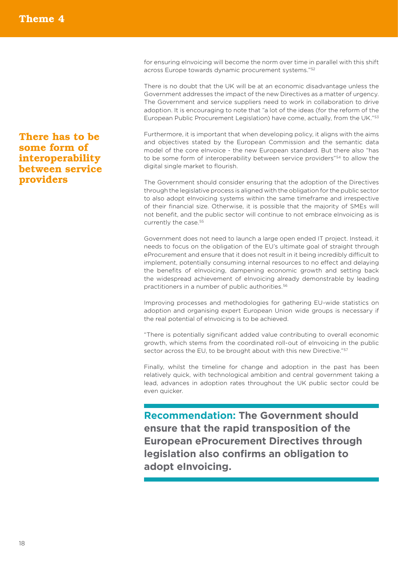There has to be some form of interoperability between service providers

for ensuring eInvoicing will become the norm over time in parallel with this shift across Europe towards dynamic procurement systems."52

There is no doubt that the UK will be at an economic disadvantage unless the Government addresses the impact of the new Directives as a matter of urgency. The Government and service suppliers need to work in collaboration to drive adoption. It is encouraging to note that "a lot of the ideas (for the reform of the European Public Procurement Legislation) have come, actually, from the UK."53

Furthermore, it is important that when developing policy, it aligns with the aims and objectives stated by the European Commission and the semantic data model of the core eInvoice - the new European standard. But there also "has to be some form of interoperability between service providers"54 to allow the digital single market to flourish.

The Government should consider ensuring that the adoption of the Directives through the legislative process is aligned with the obligation for the public sector to also adopt eInvoicing systems within the same timeframe and irrespective of their financial size. Otherwise, it is possible that the majority of SMEs will not benefit, and the public sector will continue to not embrace eInvoicing as is currently the case.<sup>55</sup>

Government does not need to launch a large open ended IT project. Instead, it needs to focus on the obligation of the EU's ultimate goal of straight through eProcurement and ensure that it does not result in it being incredibly difficult to implement, potentially consuming internal resources to no effect and delaying the benefits of eInvoicing, dampening economic growth and setting back the widespread achievement of eInvoicing already demonstrable by leading practitioners in a number of public authorities.56

Improving processes and methodologies for gathering EU-wide statistics on adoption and organising expert European Union wide groups is necessary if the real potential of eInvoicing is to be achieved.

"There is potentially significant added value contributing to overall economic growth, which stems from the coordinated roll-out of eInvoicing in the public sector across the EU, to be brought about with this new Directive."<sup>57</sup>

Finally, whilst the timeline for change and adoption in the past has been relatively quick, with technological ambition and central government taking a lead, advances in adoption rates throughout the UK public sector could be even quicker.

**Recommendation: The Government should ensure that the rapid transposition of the European eProcurement Directives through legislation also confirms an obligation to adopt eInvoicing.**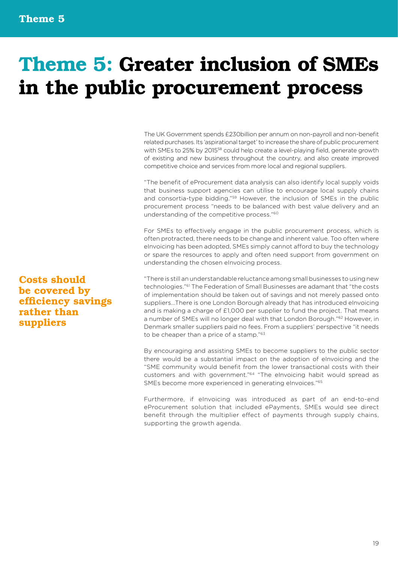# Theme 5: Greater inclusion of SMEs in the public procurement process

The UK Government spends £230billion per annum on non-payroll and non-benefit related purchases. Its 'aspirational target' to increase the share of public procurement with SMEs to 25% by 201558 could help create a level-playing field, generate growth of existing and new business throughout the country, and also create improved competitive choice and services from more local and regional suppliers.

"The benefit of eProcurement data analysis can also identify local supply voids that business support agencies can utilise to encourage local supply chains and consortia-type bidding."59 However, the inclusion of SMEs in the public procurement process "needs to be balanced with best value delivery and an understanding of the competitive process."60

For SMEs to effectively engage in the public procurement process, which is often protracted, there needs to be change and inherent value. Too often where eInvoicing has been adopted, SMEs simply cannot afford to buy the technology or spare the resources to apply and often need support from government on understanding the chosen eInvoicing process.

"There is still an understandable reluctance among small businesses to using new technologies."61 The Federation of Small Businesses are adamant that "the costs of implementation should be taken out of savings and not merely passed onto suppliers...There is one London Borough already that has introduced eInvoicing and is making a charge of £1,000 per supplier to fund the project. That means a number of SMEs will no longer deal with that London Borough."62 However, in Denmark smaller suppliers paid no fees. From a suppliers' perspective "it needs to be cheaper than a price of a stamp."<sup>63</sup>

By encouraging and assisting SMEs to become suppliers to the public sector there would be a substantial impact on the adoption of eInvoicing and the "SME community would benefit from the lower transactional costs with their customers and with government."64 "The eInvoicing habit would spread as SMEs become more experienced in generating eInvoices."65

Furthermore, if eInvoicing was introduced as part of an end-to-end eProcurement solution that included ePayments, SMEs would see direct benefit through the multiplier effect of payments through supply chains, supporting the growth agenda.

Costs should be covered by efficiency savings rather than suppliers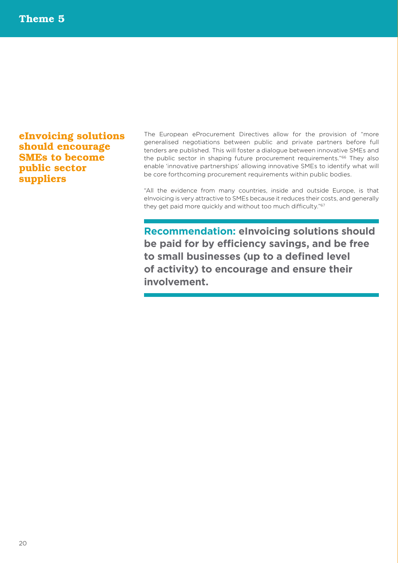### eInvoicing solutions should encourage SMEs to become public sector suppliers

The European eProcurement Directives allow for the provision of "more generalised negotiations between public and private partners before full tenders are published. This will foster a dialogue between innovative SMEs and the public sector in shaping future procurement requirements."66 They also enable 'innovative partnerships' allowing innovative SMEs to identify what will be core forthcoming procurement requirements within public bodies.

"All the evidence from many countries, inside and outside Europe, is that eInvoicing is very attractive to SMEs because it reduces their costs, and generally they get paid more quickly and without too much difficulty."67

**Recommendation: eInvoicing solutions should be paid for by efficiency savings, and be free to small businesses (up to a defined level of activity) to encourage and ensure their involvement.**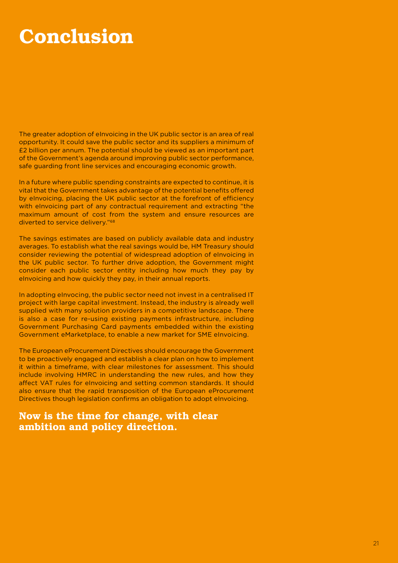### Conclusion

The greater adoption of eInvoicing in the UK public sector is an area of real opportunity. It could save the public sector and its suppliers a minimum of £2 billion per annum. The potential should be viewed as an important part of the Government's agenda around improving public sector performance, safe guarding front line services and encouraging economic growth.

In a future where public spending constraints are expected to continue, it is vital that the Government takes advantage of the potential benefits offered by eInvoicing, placing the UK public sector at the forefront of efficiency with eInvoicing part of any contractual requirement and extracting "the maximum amount of cost from the system and ensure resources are diverted to service delivery."68

The savings estimates are based on publicly available data and industry averages. To establish what the real savings would be, HM Treasury should consider reviewing the potential of widespread adoption of eInvoicing in the UK public sector. To further drive adoption, the Government might consider each public sector entity including how much they pay by eInvoicing and how quickly they pay, in their annual reports.

In adopting eInvocing, the public sector need not invest in a centralised IT project with large capital investment. Instead, the industry is already well supplied with many solution providers in a competitive landscape. There is also a case for re-using existing payments infrastructure, including Government Purchasing Card payments embedded within the existing Government eMarketplace, to enable a new market for SME eInvoicing.

The European eProcurement Directives should encourage the Government to be proactively engaged and establish a clear plan on how to implement it within a timeframe, with clear milestones for assessment. This should include involving HMRC in understanding the new rules, and how they affect VAT rules for eInvoicing and setting common standards. It should also ensure that the rapid transposition of the European eProcurement Directives though legislation confirms an obligation to adopt eInvoicing.

#### Now is the time for change, with clear ambition and policy direction.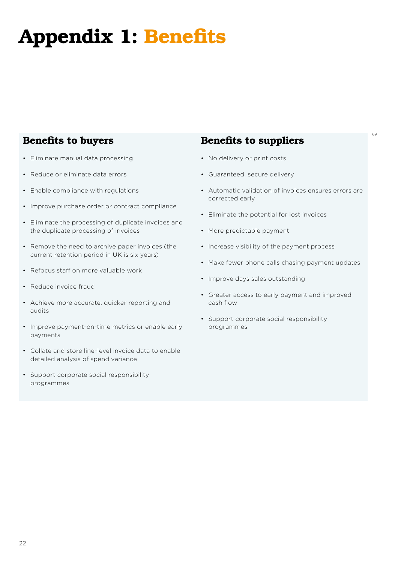# Appendix 1: Benefits

### Benefits to buyers

- Eliminate manual data processing
- Reduce or eliminate data errors
- Enable compliance with regulations
- Improve purchase order or contract compliance
- Eliminate the processing of duplicate invoices and the duplicate processing of invoices
- Remove the need to archive paper invoices (the current retention period in UK is six years)
- Refocus staff on more valuable work
- Reduce invoice fraud
- Achieve more accurate, quicker reporting and audits
- Improve payment-on-time metrics or enable early payments
- Collate and store line-level invoice data to enable detailed analysis of spend variance
- Support corporate social responsibility programmes

### Benefits to suppliers

- No delivery or print costs
- Guaranteed, secure delivery
- Automatic validation of invoices ensures errors are corrected early

69

- Eliminate the potential for lost invoices
- More predictable payment
- Increase visibility of the payment process
- Make fewer phone calls chasing payment updates
- Improve days sales outstanding
- Greater access to early payment and improved cash flow
- Support corporate social responsibility programmes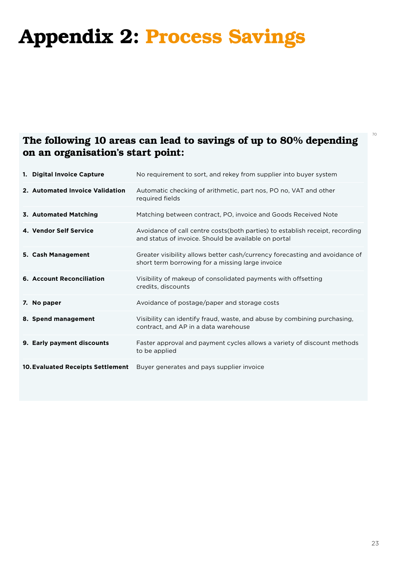# Appendix 2: Process Savings

### The following 10 areas can lead to savings of up to 80% depending on an organisation's start point:

| 1. Digital Invoice Capture               | No requirement to sort, and rekey from supplier into buyer system                                                                     |
|------------------------------------------|---------------------------------------------------------------------------------------------------------------------------------------|
| 2. Automated Invoice Validation          | Automatic checking of arithmetic, part nos, PO no, VAT and other<br>required fields                                                   |
| 3. Automated Matching                    | Matching between contract, PO, invoice and Goods Received Note                                                                        |
| 4. Vendor Self Service                   | Avoidance of call centre costs (both parties) to establish receipt, recording<br>and status of invoice. Should be available on portal |
| 5. Cash Management                       | Greater visibility allows better cash/currency forecasting and avoidance of<br>short term borrowing for a missing large invoice       |
| <b>6. Account Reconciliation</b>         | Visibility of makeup of consolidated payments with offsetting<br>credits, discounts                                                   |
| 7. No paper                              | Avoidance of postage/paper and storage costs                                                                                          |
| 8. Spend management                      | Visibility can identify fraud, waste, and abuse by combining purchasing,<br>contract, and AP in a data warehouse                      |
| 9. Early payment discounts               | Faster approval and payment cycles allows a variety of discount methods<br>to be applied                                              |
| <b>10. Evaluated Receipts Settlement</b> | Buyer generates and pays supplier invoice                                                                                             |

70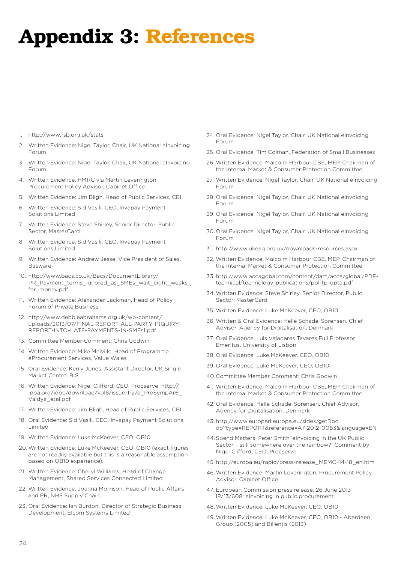### Appendix 3: References

- 1. http://www.fsb.org.uk/stats
- 2. Written Evidence: Nigel Taylor, Chair, UK National eInvoicing Forum
- 3. Written Evidence: Nigel Taylor, Chair, UK National eInvoicing Forum
- 4. Written Evidence: HMRC via Martin Leverington, Procurement Policy Advisor, Cabinet Office
- 5. Written Evidence: Jim Bligh, Head of Public Services, CBI
- 6. Written Evidence: Sid Vasili, CEO, Invapay Payment Solutions Limited
- 7. Written Evidence: Steve Shirley, Senior Director, Public Sector, MasterCard
- 8. Written Evidence: Sid Vasili, CEO, Invapay Payment Solutions Limited
- 9. Written Evidence: Andrew Jesse, Vice President of Sales, Basware
- 10. http://www.bacs.co.uk/Bacs/DocumentLibrary/ PR\_Payment\_terms\_ignored\_as\_SMEs\_wait\_eight\_weeks\_ for\_money.pdf
- 11. Written Evidence: Alexander Jackman, Head of Policy, Forum of Private Business
- 12. http://www.debbieabrahams.org.uk/wp-content/ uploads/2013/07/FINAL-REPORT-ALL-PARTY-INQUIRY-REPORT-INTO-LATE-PAYMENTS-IN-SMEs1.pdf
- 13. Committee Member Comment: Chris Godwin
- 14. Written Evidence: Mike Melville, Head of Programme eProcurement Services, Value Wales
- 15. Oral Evidence: Kerry Jones, Assistant Director, UK Single Market Centre, BIS
- 16. Written Evidence: Nigel Clifford, CEO, Procserve http:// ippa.org/jopp/download/vol6/issue-1-2/e\_ProSympAr6\_ Vaidya\_etal.pdf
- 17. Written Evidence: Jim Bligh, Head of Public Services, CBI
- 18. Oral Evidence: Sid Vasili, CEO, Invapay Payment Solutions Limited
- 19. Written Evidence: Luke McKeever, CEO, OB10
- 20. Written Evidence: Luke McKeever, CEO, OB10 (exact figures are not readily available but this is a reasonable assumption based on OB10 experience).
- 21. Written Evidence: Cheryl Williams, Head of Change Management, Shared Services Connected Limited
- 22. Written Evidence: Joanna Morrison, Head of Public Affairs and PR, NHS Supply Chain
- 23. Oral Evidence: Ian Burdon, Director of Strategic Business Development, Elcom Systems Limited
- 24. Oral Evidence: Nigel Taylor, Chair, UK National eInvoicing Forum
- 25. Oral Evidence: Tim Colman, Federation of Small Businesses
- 26. Written Evidence: Malcolm Harbour CBE, MEP, Chairman of the Internal Market & Consumer Protection Committee
- 27. Written Evidence: Nigel Taylor, Chair, UK National eInvoicing Forum
- 28. Oral Evidence: Nigel Taylor, Chair, UK National eInvoicing Forum
- 29. Oral Evidence: Nigel Taylor, Chair, UK National eInvoicing Forum
- 30. Oral Evidence: Nigel Taylor, Chair, UK National eInvoicing Forum
- 31. http://www.ukeag.org.uk/downloads-resources.aspx
- 32. Written Evidence: Malcolm Harbour CBE, MEP, Chairman of the Internal Market & Consumer Protection Committee
- 33. http://www.accagobal.com/content/dam/acca/global/PDFtechnical/technology-publications/pol-tp-gpta.pdf
- 34. Written Evidence: Steve Shirley, Senior Director, Public Sector, MasterCard
- 35. Written Evidence: Luke McKeever, CEO, OB10
- 36. Written & Oral Evidence: Helle Schade-Sorensen, Chief Advisor, Agency for Digitalisation, Denmark
- 37. Oral Evidence: Luis Valadares Tavares,Full Professor Emeritus, University of Lisbon
- 38. Oral Evidence: Luke McKeever, CEO, OB10
- 39. Oral Evidence: Luke McKeever, CEO, OB10
- 40.Committee Member Comment: Chris Godwin
- 41. Written Evidence: Malcolm Harbour CBE, MEP, Chairman of the Internal Market & Consumer Protection Committee
- 42. Oral Evidence: Helle Schade-Sorensen, Chief Advisor, Agency for Digitalisation, Denmark
- 43. http://www.europarl.europa.eu/sides/getDoc. do?type=REPORT&reference=A7-2012-0083&language=EN
- 44.Spend Matters, Peter Smith 'eInvoicing in the UK Public Sector – still somewhere over the rainbow?' Comment by Nigel Clifford, CEO, Procserve
- 45. http://europa.eu/rapid/press-release\_MEMO-14-18\_en.htm
- 46.Written Evidence: Martin Leverington, Procurement Policy Advisor, Cabinet Office
- 47. European Commission press release, 26 June 2013 IP/13/608: eInvoicing in public procurement
- 48.Written Evidence: Luke McKeever, CEO, OB10
- 49. Written Evidence: Luke McKeever, CEO, OB10 Aberdeen Group (2005) and Billentis (2013)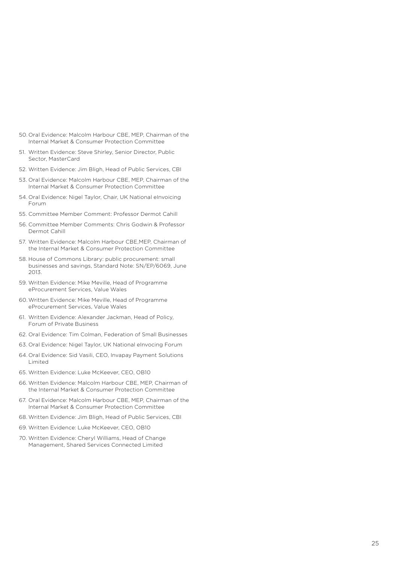- 50. Oral Evidence: Malcolm Harbour CBE, MEP, Chairman of the Internal Market & Consumer Protection Committee
- 51. Written Evidence: Steve Shirley, Senior Director, Public Sector, MasterCard
- 52. Written Evidence: Jim Bligh, Head of Public Services, CBI
- 53. Oral Evidence: Malcolm Harbour CBE, MEP, Chairman of the Internal Market & Consumer Protection Committee
- 54. Oral Evidence: Nigel Taylor, Chair, UK National eInvoicing Forum
- 55. Committee Member Comment: Professor Dermot Cahill
- 56. Committee Member Comments: Chris Godwin & Professor Dermot Cahill
- 57. Written Evidence: Malcolm Harbour CBE,MEP, Chairman of the Internal Market & Consumer Protection Committee
- 58. House of Commons Library: public procurement: small businesses and savings, Standard Note: SN/EP/6069, June 2013.
- 59. Written Evidence: Mike Meville, Head of Programme eProcurement Services, Value Wales
- 60.Written Evidence: Mike Meville, Head of Programme eProcurement Services, Value Wales
- 61. Written Evidence: Alexander Jackman, Head of Policy, Forum of Private Business
- 62. Oral Evidence: Tim Colman, Federation of Small Businesses
- 63. Oral Evidence: Nigel Taylor, UK National eInvocing Forum
- 64. Oral Evidence: Sid Vasili, CEO, Invapay Payment Solutions Limited
- 65. Written Evidence: Luke McKeever, CEO, OB10
- 66. Written Evidence: Malcolm Harbour CBE, MEP, Chairman of the Internal Market & Consumer Protection Committee
- 67. Oral Evidence: Malcolm Harbour CBE, MEP, Chairman of the Internal Market & Consumer Protection Committee
- 68. Written Evidence: Jim Bligh, Head of Public Services, CBI
- 69. Written Evidence: Luke McKeever, CEO, OB10
- 70. Written Evidence: Cheryl Williams, Head of Change Management, Shared Services Connected Limited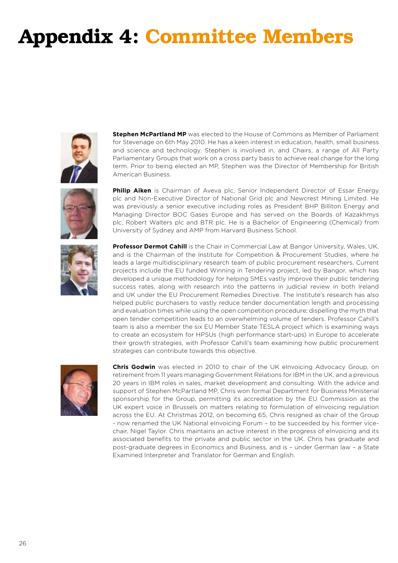# Appendix 4: Committee Members



**Stephen McPartland MP** was elected to the House of Commons as Member of Parliament for Stevenage on 6th May 2010. He has a keen interest in education, health, small business and science and technology. Stephen is involved in, and Chairs, a range of All Party Parliamentary Groups that work on a cross party basis to achieve real change for the long term. Prior to being elected an MP, Stephen was the Director of Membership for British American Business.



**Philip Aiken** is Chairman of Aveva plc, Senior Independent Director of Essar Energy plc and Non-Executive Director of National Grid plc and Newcrest Mining Limited. He was previously a senior executive including roles as President BHP Billiton Energy and Managing Director BOC Gases Europe and has served on the Boards of Kazakhmys plc, Robert Walters plc and BTR plc. He is a Bachelor of Engineering (Chemical) from University of Sydney and AMP from Harvard Business School.



**Professor Dermot Cahill** is the Chair in Commercial Law at Bangor University, Wales, UK, and is the Chairman of the Institute for Competition & Procurement Studies, where he leads a large multidisciplinary research team of public procurement researchers. Current projects include the EU funded Winning in Tendering project, led by Bangor, which has developed a unique methodology for helping SMEs vastly improve their public tendering success rates, along with research into the patterns in judicial review in both Ireland and UK under the EU Procurement Remedies Directive. The Institute's research has also helped public purchasers to vastly reduce tender documentation length and processing and evaluation times while using the open competition procedure; dispelling the myth that open tender competition leads to an overwhelming volume of tenders. Professor Cahill's team is also a member the six EU Member State TESLA project which is examining ways to create an ecosystem for HPSUs (high performance start-ups) in Europe to accelerate their growth strategies, with Professor Cahill's team examining how public procurement strategies can contribute towards this objective.



**Chris Godwin** was elected in 2010 to chair of the UK eInvoicing Advocacy Group, on retirement from 11 years managing Government Relations for IBM in the UK, and a previous 20 years in IBM roles in sales, market development and consulting. With the advice and support of Stephen McPartland MP, Chris won formal Department for Business Ministerial sponsorship for the Group, permitting its accreditation by the EU Commission as the UK expert voice in Brussels on matters relating to formulation of eInvoicing regulation across the EU. At Christmas 2012, on becoming 65, Chris resigned as chair of the Group - now renamed the UK National eInvoicing Forum – to be succeeded by his former vicechair, Nigel Taylor. Chris maintains an active interest in the progress of elnvoicing and its associated benefits to the private and public sector in the UK. Chris has graduate and post-graduate degrees in Economics and Business, and is – under German law – a State Examined Interpreter and Translator for German and English.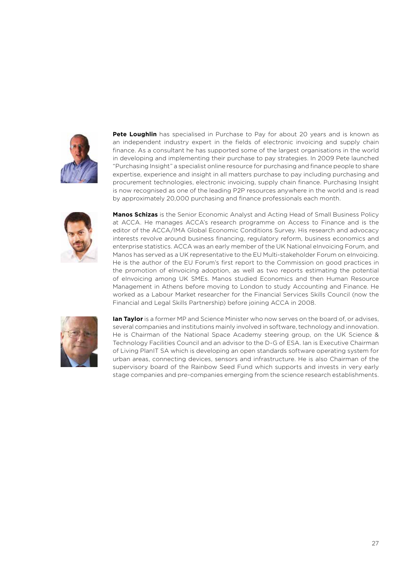

**Pete Loughlin** has specialised in Purchase to Pay for about 20 years and is known as an independent industry expert in the fields of electronic invoicing and supply chain finance. As a consultant he has supported some of the largest organisations in the world in developing and implementing their purchase to pay strategies. In 2009 Pete launched "Purchasing Insight" a specialist online resource for purchasing and finance people to share expertise, experience and insight in all matters purchase to pay including purchasing and procurement technologies, electronic invoicing, supply chain finance. Purchasing Insight is now recognised as one of the leading P2P resources anywhere in the world and is read by approximately 20,000 purchasing and finance professionals each month.



**Manos Schizas** is the Senior Economic Analyst and Acting Head of Small Business Policy at ACCA. He manages ACCA's research programme on Access to Finance and is the editor of the ACCA/IMA Global Economic Conditions Survey. His research and advocacy interests revolve around business financing, regulatory reform, business economics and enterprise statistics. ACCA was an early member of the UK National eInvoicing Forum, and Manos has served as a UK representative to the EU Multi-stakeholder Forum on eInvoicing. He is the author of the EU Forum's first report to the Commission on good practices in the promotion of eInvoicing adoption, as well as two reports estimating the potential of eInvoicing among UK SMEs. Manos studied Economics and then Human Resource Management in Athens before moving to London to study Accounting and Finance. He worked as a Labour Market researcher for the Financial Services Skills Council (now the Financial and Legal Skills Partnership) before joining ACCA in 2008.



**Ian Taylor** is a former MP and Science Minister who now serves on the board of, or advises, several companies and institutions mainly involved in software, technology and innovation. He is Chairman of the National Space Academy steering group, on the UK Science & Technology Facilities Council and an advisor to the D-G of ESA. Ian is Executive Chairman of Living PlanIT SA which is developing an open standards software operating system for urban areas, connecting devices, sensors and infrastructure. He is also Chairman of the supervisory board of the Rainbow Seed Fund which supports and invests in very early stage companies and pre-companies emerging from the science research establishments.